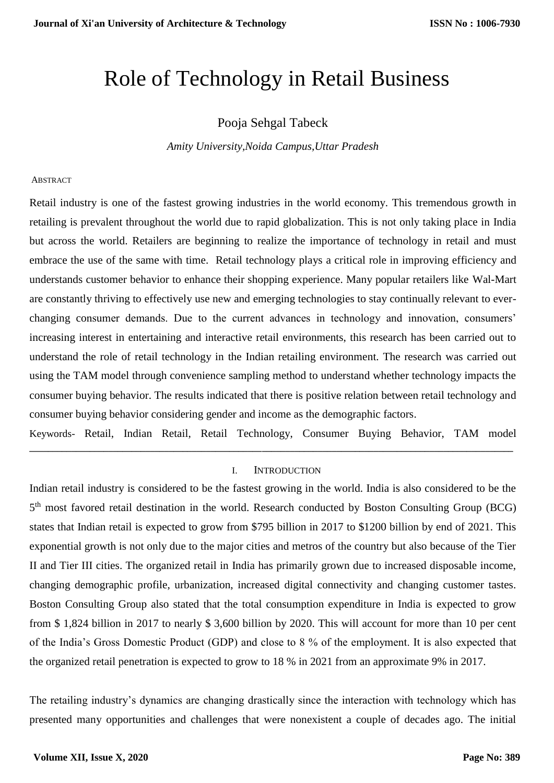# Role of Technology in Retail Business

# Pooja Sehgal Tabeck

*Amity University,Noida Campus,Uttar Pradesh*

#### ABSTRACT

Retail industry is one of the fastest growing industries in the world economy. This tremendous growth in retailing is prevalent throughout the world due to rapid globalization. This is not only taking place in India but across the world. Retailers are beginning to realize the importance of technology in retail and must embrace the use of the same with time. Retail technology plays a critical role in improving efficiency and understands customer behavior to enhance their shopping experience. Many popular retailers like Wal-Mart are constantly thriving to effectively use new and emerging technologies to stay continually relevant to everchanging consumer demands. Due to the current advances in technology and innovation, consumers' increasing interest in entertaining and interactive retail environments, this research has been carried out to understand the role of retail technology in the Indian retailing environment. The research was carried out using the TAM model through convenience sampling method to understand whether technology impacts the consumer buying behavior. The results indicated that there is positive relation between retail technology and consumer buying behavior considering gender and income as the demographic factors.

Keywords- Retail, Indian Retail, Retail Technology, Consumer Buying Behavior, TAM model **\_\_\_\_\_\_\_\_\_\_\_\_\_\_\_\_\_\_\_\_\_\_\_\_\_\_\_\_\_\_\_\_\_\_\_\_\_\_\_\_\_\_\_\_\_\_\_\_\_\_\_\_\_\_\_\_\_\_\_\_\_\_\_\_\_\_\_\_\_\_\_\_\_\_\_\_\_\_\_\_\_\_\_\_\_\_\_\_\_\_\_\_\_\_\_\_\_\_\_\_\_\_\_\_**

#### I. INTRODUCTION

Indian retail industry is considered to be the fastest growing in the world. India is also considered to be the 5<sup>th</sup> most favored retail destination in the world. Research conducted by Boston Consulting Group (BCG) states that Indian retail is expected to grow from \$795 billion in 2017 to \$1200 billion by end of 2021. This exponential growth is not only due to the major cities and metros of the country but also because of the Tier II and Tier III cities. The organized retail in India has primarily grown due to increased disposable income, changing demographic profile, urbanization, increased digital connectivity and changing customer tastes. Boston Consulting Group also stated that the total consumption expenditure in India is expected to grow from \$ 1,824 billion in 2017 to nearly \$ 3,600 billion by 2020. This will account for more than 10 per cent of the India's Gross Domestic Product (GDP) and close to 8 % of the employment. It is also expected that the organized retail penetration is expected to grow to 18 % in 2021 from an approximate 9% in 2017.

The retailing industry's dynamics are changing drastically since the interaction with technology which has presented many opportunities and challenges that were nonexistent a couple of decades ago. The initial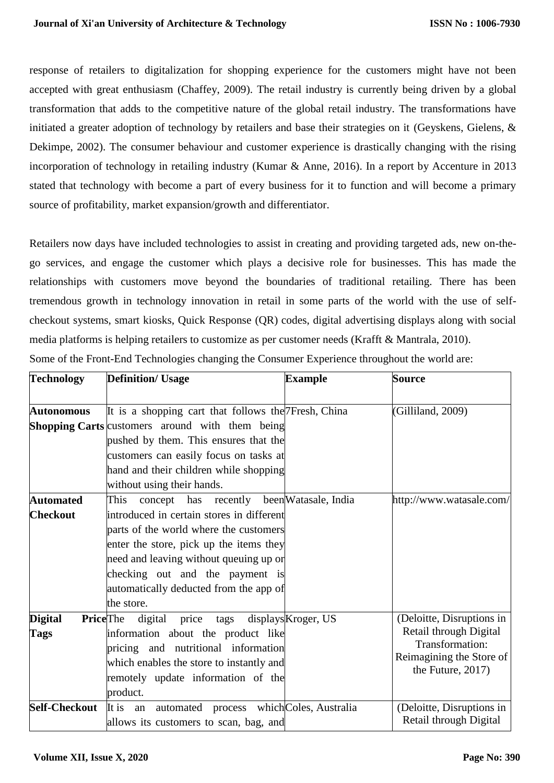response of retailers to digitalization for shopping experience for the customers might have not been accepted with great enthusiasm (Chaffey, 2009). The retail industry is currently being driven by a global transformation that adds to the competitive nature of the global retail industry. The transformations have initiated a greater adoption of technology by retailers and base their strategies on it (Geyskens, Gielens, & Dekimpe, 2002). The consumer behaviour and customer experience is drastically changing with the rising incorporation of technology in retailing industry (Kumar & Anne, 2016). In a report by Accenture in 2013 stated that technology with become a part of every business for it to function and will become a primary source of profitability, market expansion/growth and differentiator.

Retailers now days have included technologies to assist in creating and providing targeted ads, new on-thego services, and engage the customer which plays a decisive role for businesses. This has made the relationships with customers move beyond the boundaries of traditional retailing. There has been tremendous growth in technology innovation in retail in some parts of the world with the use of selfcheckout systems, smart kiosks, Quick Response (QR) codes, digital advertising displays along with social media platforms is helping retailers to customize as per customer needs (Krafft & Mantrala, 2010). Some of the Front-End Technologies changing the Consumer Experience throughout the world are:

| <b>Technology</b>                 | <b>Definition/ Usage</b>                                | <b>Example</b>      | <b>Source</b>             |  |  |
|-----------------------------------|---------------------------------------------------------|---------------------|---------------------------|--|--|
|                                   |                                                         |                     |                           |  |  |
| <b>Autonomous</b>                 | It is a shopping cart that follows the 7Fresh, China    |                     | (Gilliland, 2009)         |  |  |
|                                   | <b>Shopping Carts</b> customers around with them being  |                     |                           |  |  |
|                                   | pushed by them. This ensures that the                   |                     |                           |  |  |
|                                   | customers can easily focus on tasks at                  |                     |                           |  |  |
|                                   | hand and their children while shopping                  |                     |                           |  |  |
|                                   | without using their hands.                              |                     |                           |  |  |
| <b>Automated</b>                  | recently been Watasale, India<br>This<br>has<br>concept |                     | http://www.watasale.com/  |  |  |
| <b>Checkout</b>                   | introduced in certain stores in different               |                     |                           |  |  |
|                                   | parts of the world where the customers                  |                     |                           |  |  |
|                                   | enter the store, pick up the items they                 |                     |                           |  |  |
|                                   | need and leaving without queuing up or                  |                     |                           |  |  |
|                                   | checking out and the payment is                         |                     |                           |  |  |
|                                   | automatically deducted from the app of                  |                     |                           |  |  |
|                                   | the store.                                              |                     |                           |  |  |
| <b>PriceThe</b><br><b>Digital</b> | digital<br>price tags                                   | displays Kroger, US | (Deloitte, Disruptions in |  |  |
| <b>Tags</b>                       | information about the product like                      |                     | Retail through Digital    |  |  |
|                                   | pricing and nutritional information                     | Transformation:     |                           |  |  |
|                                   | which enables the store to instantly and                |                     | Reimagining the Store of  |  |  |
|                                   | remotely update information of the                      |                     | the Future, $2017$ )      |  |  |
|                                   | product.                                                |                     |                           |  |  |
| <b>Self-Checkout</b>              | automated process which Coles, Australia<br>It is<br>an |                     | (Deloitte, Disruptions in |  |  |
|                                   | allows its customers to scan, bag, and                  |                     | Retail through Digital    |  |  |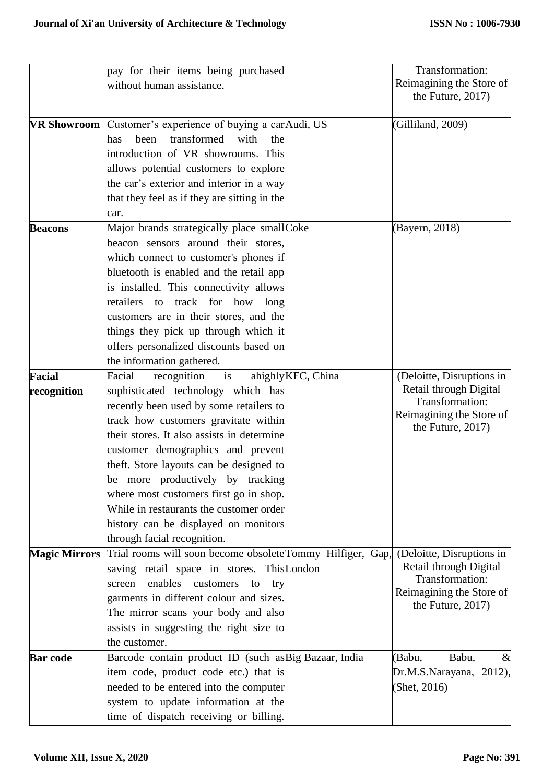|                      | pay for their items being purchased                        |                            | Transformation:                                  |
|----------------------|------------------------------------------------------------|----------------------------|--------------------------------------------------|
|                      | without human assistance.                                  |                            | Reimagining the Store of                         |
|                      |                                                            |                            | the Future, 2017)                                |
|                      |                                                            |                            |                                                  |
| VR Showroom          | Customer's experience of buying a carAudi, US              |                            | (Gilliland, 2009)                                |
|                      | transformed<br>with<br>been<br>the<br>has                  |                            |                                                  |
|                      | introduction of VR showrooms. This                         |                            |                                                  |
|                      | allows potential customers to explore                      |                            |                                                  |
|                      | the car's exterior and interior in a way                   |                            |                                                  |
|                      | that they feel as if they are sitting in the               |                            |                                                  |
|                      | car.                                                       |                            |                                                  |
| <b>Beacons</b>       | Major brands strategically place smallCoke                 |                            | (Bayern, 2018)                                   |
|                      | beacon sensors around their stores,                        |                            |                                                  |
|                      | which connect to customer's phones if                      |                            |                                                  |
|                      | bluetooth is enabled and the retail app                    |                            |                                                  |
|                      | is installed. This connectivity allows                     |                            |                                                  |
|                      | retailers<br>to track for how long                         |                            |                                                  |
|                      | customers are in their stores, and the                     |                            |                                                  |
|                      | things they pick up through which it                       |                            |                                                  |
|                      | offers personalized discounts based on                     |                            |                                                  |
|                      | the information gathered.                                  |                            |                                                  |
| <b>Facial</b>        | recognition<br>Facial<br>$\frac{1}{1}$                     | ahighly <i>KFC</i> , China | (Deloitte, Disruptions in                        |
| recognition          | sophisticated technology which has                         |                            | Retail through Digital                           |
|                      | recently been used by some retailers to                    |                            | Transformation:                                  |
|                      | track how customers gravitate within                       |                            | Reimagining the Store of                         |
|                      | their stores. It also assists in determine                 |                            | the Future, $2017$ )                             |
|                      | customer demographics and prevent                          |                            |                                                  |
|                      | theft. Store layouts can be designed to                    |                            |                                                  |
|                      | be more productively by tracking                           |                            |                                                  |
|                      | where most customers first go in shop.                     |                            |                                                  |
|                      | While in restaurants the customer order                    |                            |                                                  |
|                      | history can be displayed on monitors                       |                            |                                                  |
|                      | through facial recognition.                                |                            |                                                  |
| <b>Magic Mirrors</b> | Trial rooms will soon become obsolete Tommy Hilfiger, Gap, |                            | (Deloitte, Disruptions in                        |
|                      | saving retail space in stores. This London                 |                            | Retail through Digital                           |
|                      | enables<br>customers<br>screen<br>to<br>try                |                            | Transformation:                                  |
|                      | garments in different colour and sizes.                    |                            | Reimagining the Store of<br>the Future, $2017$ ) |
|                      | The mirror scans your body and also                        |                            |                                                  |
|                      | assists in suggesting the right size to                    |                            |                                                  |
|                      | the customer.                                              |                            |                                                  |
| <b>Bar</b> code      | Barcode contain product ID (such as Big Bazaar, India      |                            | (Babu,<br>Babu,<br>$\&$                          |
|                      | item code, product code etc.) that is                      |                            | Dr.M.S.Narayana, 2012),                          |
|                      | needed to be entered into the computer                     |                            | (Shet, 2016)                                     |
|                      | system to update information at the                        |                            |                                                  |
|                      | time of dispatch receiving or billing.                     |                            |                                                  |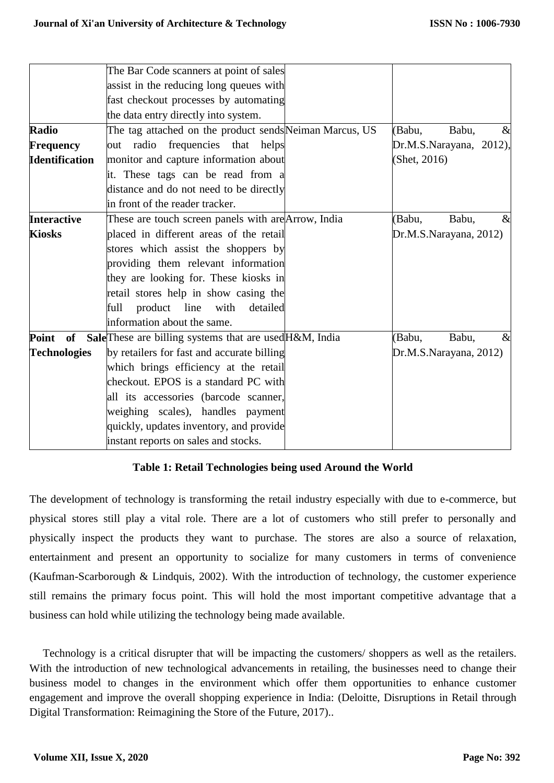|                       | The Bar Code scanners at point of sales                 |                         |  |
|-----------------------|---------------------------------------------------------|-------------------------|--|
|                       | assist in the reducing long queues with                 |                         |  |
|                       | fast checkout processes by automating                   |                         |  |
|                       | the data entry directly into system.                    |                         |  |
| <b>Radio</b>          | The tag attached on the product sends Neiman Marcus, US | (Babu,<br>Babu,<br>$\&$ |  |
| <b>Frequency</b>      | out radio frequencies that helps                        | Dr.M.S.Narayana, 2012), |  |
| <b>Identification</b> | monitor and capture information about                   | (Shet, 2016)            |  |
|                       | it. These tags can be read from a                       |                         |  |
|                       | distance and do not need to be directly                 |                         |  |
|                       | in front of the reader tracker.                         |                         |  |
| <b>Interactive</b>    | These are touch screen panels with are Arrow, India     | Babu,<br>(Babu,<br>$\&$ |  |
| <b>Kiosks</b>         | placed in different areas of the retail                 | Dr.M.S.Narayana, 2012)  |  |
|                       | stores which assist the shoppers by                     |                         |  |
|                       | providing them relevant information                     |                         |  |
|                       | they are looking for. These kiosks in                   |                         |  |
|                       | retail stores help in show casing the                   |                         |  |
|                       | product line<br>full<br>with<br>detailed                |                         |  |
|                       | information about the same.                             |                         |  |
| Point of              | SaleThese are billing systems that are used H&M, India  | (Babu,<br>Babu,<br>$\&$ |  |
| <b>Technologies</b>   | by retailers for fast and accurate billing              | Dr.M.S.Narayana, 2012)  |  |
|                       | which brings efficiency at the retail                   |                         |  |
|                       | checkout. EPOS is a standard PC with                    |                         |  |
|                       | all its accessories (barcode scanner,                   |                         |  |
|                       | weighing scales), handles payment                       |                         |  |
|                       | quickly, updates inventory, and provide                 |                         |  |
|                       | instant reports on sales and stocks.                    |                         |  |

# **Table 1: Retail Technologies being used Around the World**

The development of technology is transforming the retail industry especially with due to e-commerce, but physical stores still play a vital role. There are a lot of customers who still prefer to personally and physically inspect the products they want to purchase. The stores are also a source of relaxation, entertainment and present an opportunity to socialize for many customers in terms of convenience (Kaufman-Scarborough & Lindquis, 2002). With the introduction of technology, the customer experience still remains the primary focus point. This will hold the most important competitive advantage that a business can hold while utilizing the technology being made available.

Technology is a critical disrupter that will be impacting the customers/ shoppers as well as the retailers. With the introduction of new technological advancements in retailing, the businesses need to change their business model to changes in the environment which offer them opportunities to enhance customer engagement and improve the overall shopping experience in India: (Deloitte, Disruptions in Retail through Digital Transformation: Reimagining the Store of the Future, 2017)..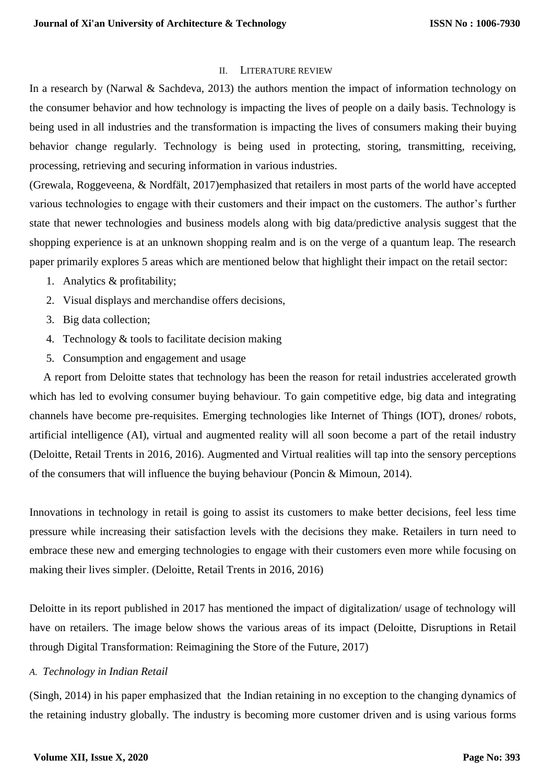#### II. LITERATURE REVIEW

In a research by (Narwal & Sachdeva, 2013) the authors mention the impact of information technology on the consumer behavior and how technology is impacting the lives of people on a daily basis. Technology is being used in all industries and the transformation is impacting the lives of consumers making their buying behavior change regularly. Technology is being used in protecting, storing, transmitting, receiving, processing, retrieving and securing information in various industries.

(Grewala, Roggeveena, & Nordfält, 2017)emphasized that retailers in most parts of the world have accepted various technologies to engage with their customers and their impact on the customers. The author's further state that newer technologies and business models along with big data/predictive analysis suggest that the shopping experience is at an unknown shopping realm and is on the verge of a quantum leap. The research paper primarily explores 5 areas which are mentioned below that highlight their impact on the retail sector:

- 1. Analytics & profitability;
- 2. Visual displays and merchandise offers decisions,
- 3. Big data collection;
- 4. Technology & tools to facilitate decision making
- 5. Consumption and engagement and usage

 A report from Deloitte states that technology has been the reason for retail industries accelerated growth which has led to evolving consumer buying behaviour. To gain competitive edge, big data and integrating channels have become pre-requisites. Emerging technologies like Internet of Things (IOT), drones/ robots, artificial intelligence (AI), virtual and augmented reality will all soon become a part of the retail industry (Deloitte, Retail Trents in 2016, 2016). Augmented and Virtual realities will tap into the sensory perceptions of the consumers that will influence the buying behaviour (Poncin & Mimoun, 2014).

Innovations in technology in retail is going to assist its customers to make better decisions, feel less time pressure while increasing their satisfaction levels with the decisions they make. Retailers in turn need to embrace these new and emerging technologies to engage with their customers even more while focusing on making their lives simpler. (Deloitte, Retail Trents in 2016, 2016)

Deloitte in its report published in 2017 has mentioned the impact of digitalization/ usage of technology will have on retailers. The image below shows the various areas of its impact (Deloitte, Disruptions in Retail through Digital Transformation: Reimagining the Store of the Future, 2017)

#### *A. Technology in Indian Retail*

(Singh, 2014) in his paper emphasized that the Indian retaining in no exception to the changing dynamics of the retaining industry globally. The industry is becoming more customer driven and is using various forms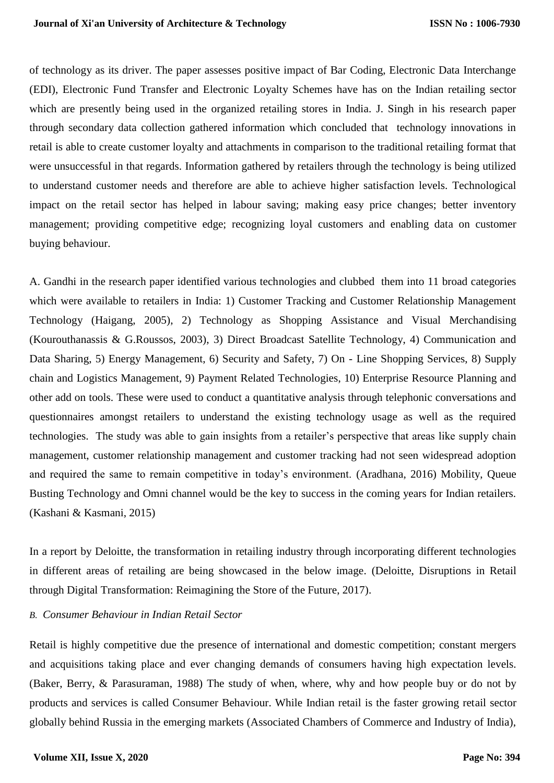of technology as its driver. The paper assesses positive impact of Bar Coding, Electronic Data Interchange (EDI), Electronic Fund Transfer and Electronic Loyalty Schemes have has on the Indian retailing sector which are presently being used in the organized retailing stores in India. J. Singh in his research paper through secondary data collection gathered information which concluded that technology innovations in retail is able to create customer loyalty and attachments in comparison to the traditional retailing format that were unsuccessful in that regards. Information gathered by retailers through the technology is being utilized to understand customer needs and therefore are able to achieve higher satisfaction levels. Technological impact on the retail sector has helped in labour saving; making easy price changes; better inventory management; providing competitive edge; recognizing loyal customers and enabling data on customer buying behaviour.

A. Gandhi in the research paper identified various technologies and clubbed them into 11 broad categories which were available to retailers in India: 1) Customer Tracking and Customer Relationship Management Technology (Haigang, 2005), 2) Technology as Shopping Assistance and Visual Merchandising (Kourouthanassis & G.Roussos, 2003), 3) Direct Broadcast Satellite Technology, 4) Communication and Data Sharing, 5) Energy Management, 6) Security and Safety, 7) On - Line Shopping Services, 8) Supply chain and Logistics Management, 9) Payment Related Technologies, 10) Enterprise Resource Planning and other add on tools. These were used to conduct a quantitative analysis through telephonic conversations and questionnaires amongst retailers to understand the existing technology usage as well as the required technologies. The study was able to gain insights from a retailer's perspective that areas like supply chain management, customer relationship management and customer tracking had not seen widespread adoption and required the same to remain competitive in today's environment. (Aradhana, 2016) Mobility, Queue Busting Technology and Omni channel would be the key to success in the coming years for Indian retailers. (Kashani & Kasmani, 2015)

In a report by Deloitte, the transformation in retailing industry through incorporating different technologies in different areas of retailing are being showcased in the below image. (Deloitte, Disruptions in Retail through Digital Transformation: Reimagining the Store of the Future, 2017).

#### *B. Consumer Behaviour in Indian Retail Sector*

Retail is highly competitive due the presence of international and domestic competition; constant mergers and acquisitions taking place and ever changing demands of consumers having high expectation levels. (Baker, Berry, & Parasuraman, 1988) The study of when, where, why and how people buy or do not by products and services is called Consumer Behaviour. While Indian retail is the faster growing retail sector globally behind Russia in the emerging markets (Associated Chambers of Commerce and Industry of India),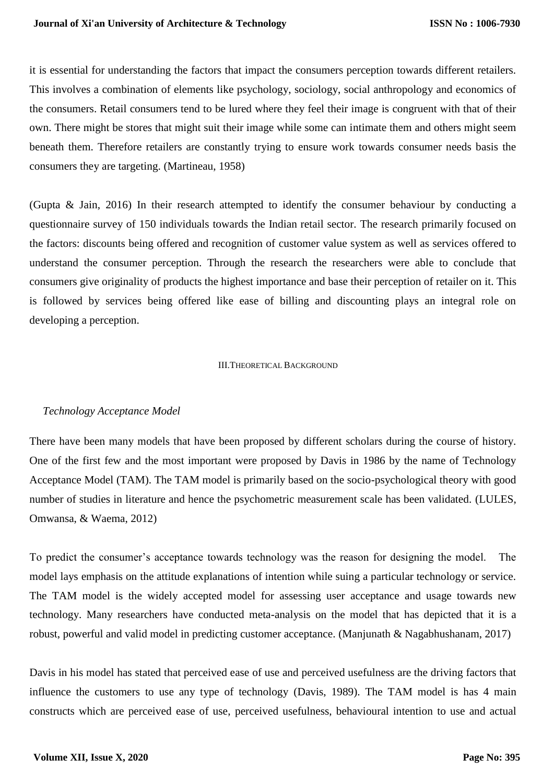it is essential for understanding the factors that impact the consumers perception towards different retailers. This involves a combination of elements like psychology, sociology, social anthropology and economics of the consumers. Retail consumers tend to be lured where they feel their image is congruent with that of their own. There might be stores that might suit their image while some can intimate them and others might seem beneath them. Therefore retailers are constantly trying to ensure work towards consumer needs basis the consumers they are targeting. (Martineau, 1958)

(Gupta & Jain, 2016) In their research attempted to identify the consumer behaviour by conducting a questionnaire survey of 150 individuals towards the Indian retail sector. The research primarily focused on the factors: discounts being offered and recognition of customer value system as well as services offered to understand the consumer perception. Through the research the researchers were able to conclude that consumers give originality of products the highest importance and base their perception of retailer on it. This is followed by services being offered like ease of billing and discounting plays an integral role on developing a perception.

#### III.THEORETICAL BACKGROUND

#### *Technology Acceptance Model*

There have been many models that have been proposed by different scholars during the course of history. One of the first few and the most important were proposed by Davis in 1986 by the name of Technology Acceptance Model (TAM). The TAM model is primarily based on the socio-psychological theory with good number of studies in literature and hence the psychometric measurement scale has been validated. (LULES, Omwansa, & Waema, 2012)

To predict the consumer's acceptance towards technology was the reason for designing the model. The model lays emphasis on the attitude explanations of intention while suing a particular technology or service. The TAM model is the widely accepted model for assessing user acceptance and usage towards new technology. Many researchers have conducted meta-analysis on the model that has depicted that it is a robust, powerful and valid model in predicting customer acceptance. (Manjunath & Nagabhushanam, 2017)

Davis in his model has stated that perceived ease of use and perceived usefulness are the driving factors that influence the customers to use any type of technology (Davis, 1989). The TAM model is has 4 main constructs which are perceived ease of use, perceived usefulness, behavioural intention to use and actual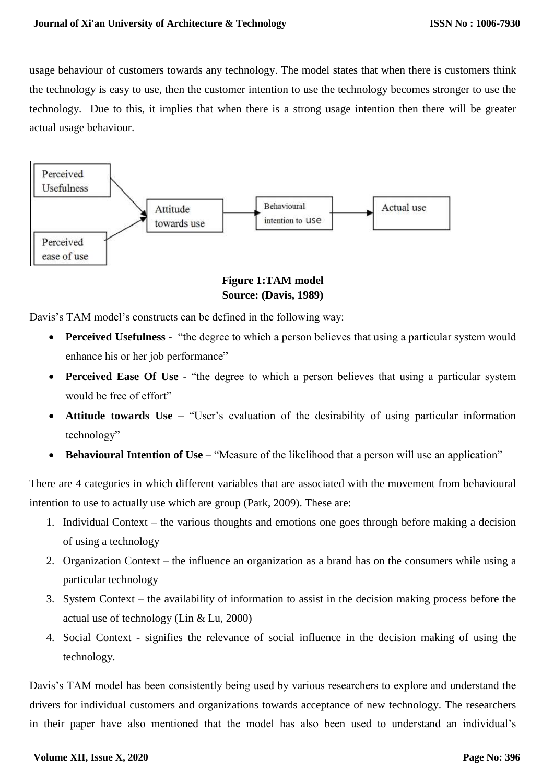usage behaviour of customers towards any technology. The model states that when there is customers think the technology is easy to use, then the customer intention to use the technology becomes stronger to use the technology. Due to this, it implies that when there is a strong usage intention then there will be greater actual usage behaviour.



# **Figure 1:TAM model Source: (Davis, 1989)**

Davis's TAM model's constructs can be defined in the following way:

- **Perceived Usefulness** "the degree to which a person believes that using a particular system would enhance his or her job performance"
- **Perceived Ease Of Use** "the degree to which a person believes that using a particular system would be free of effort"
- **Attitude towards Use** "User's evaluation of the desirability of using particular information technology"
- **Behavioural Intention of Use** "Measure of the likelihood that a person will use an application"

There are 4 categories in which different variables that are associated with the movement from behavioural intention to use to actually use which are group (Park, 2009). These are:

- 1. Individual Context the various thoughts and emotions one goes through before making a decision of using a technology
- 2. Organization Context the influence an organization as a brand has on the consumers while using a particular technology
- 3. System Context the availability of information to assist in the decision making process before the actual use of technology (Lin & Lu, 2000)
- 4. Social Context signifies the relevance of social influence in the decision making of using the technology.

Davis's TAM model has been consistently being used by various researchers to explore and understand the drivers for individual customers and organizations towards acceptance of new technology. The researchers in their paper have also mentioned that the model has also been used to understand an individual's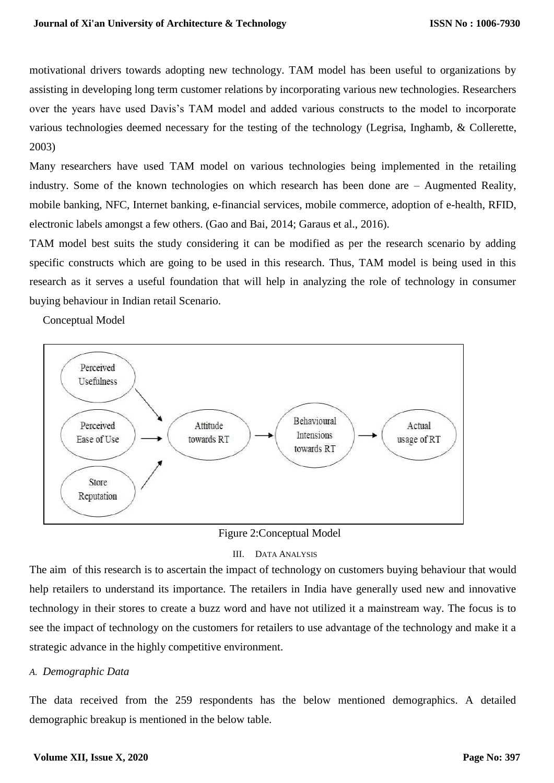motivational drivers towards adopting new technology. TAM model has been useful to organizations by assisting in developing long term customer relations by incorporating various new technologies. Researchers over the years have used Davis's TAM model and added various constructs to the model to incorporate various technologies deemed necessary for the testing of the technology (Legrisa, Inghamb, & Collerette, 2003)

Many researchers have used TAM model on various technologies being implemented in the retailing industry. Some of the known technologies on which research has been done are – Augmented Reality, mobile banking, NFC, Internet banking, e-financial services, mobile commerce, adoption of e-health, RFID, electronic labels amongst a few others. (Gao and Bai, 2014; Garaus et al., 2016).

TAM model best suits the study considering it can be modified as per the research scenario by adding specific constructs which are going to be used in this research. Thus, TAM model is being used in this research as it serves a useful foundation that will help in analyzing the role of technology in consumer buying behaviour in Indian retail Scenario.

Conceptual Model



Figure 2:Conceptual Model

#### III. DATA ANALYSIS

The aim of this research is to ascertain the impact of technology on customers buying behaviour that would help retailers to understand its importance. The retailers in India have generally used new and innovative technology in their stores to create a buzz word and have not utilized it a mainstream way. The focus is to see the impact of technology on the customers for retailers to use advantage of the technology and make it a strategic advance in the highly competitive environment.

#### *A. Demographic Data*

The data received from the 259 respondents has the below mentioned demographics. A detailed demographic breakup is mentioned in the below table.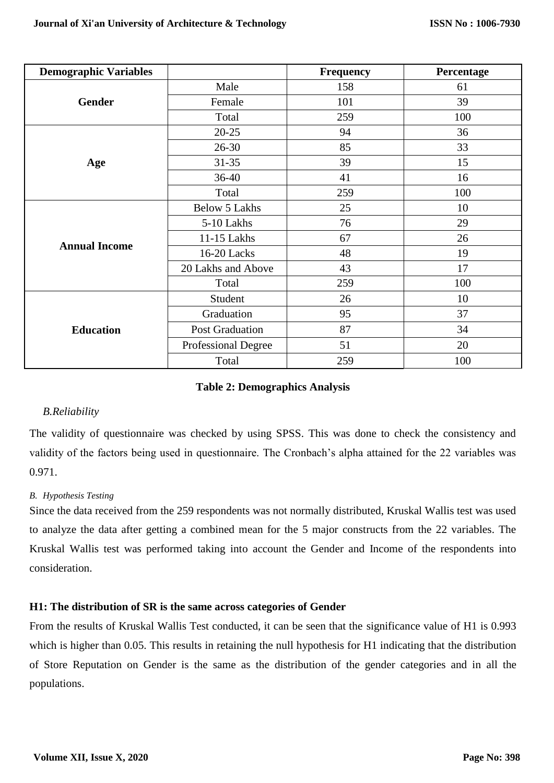| <b>Demographic Variables</b> |                        | <b>Frequency</b> | Percentage |
|------------------------------|------------------------|------------------|------------|
|                              | Male                   | 158              | 61         |
| <b>Gender</b>                | Female                 | 101              | 39         |
|                              | Total                  | 259              | 100        |
|                              | $20 - 25$              | 94               | 36         |
|                              | $26 - 30$              | 85               | 33         |
| Age                          | $31 - 35$              | 39               | 15         |
|                              | 36-40                  | 41               | 16         |
|                              | Total                  | 259              | 100        |
|                              | <b>Below 5 Lakhs</b>   | 25               | 10         |
|                              | 5-10 Lakhs             | 76               | 29         |
| <b>Annual Income</b>         | 11-15 Lakhs            | 67               | 26         |
|                              | 16-20 Lacks            | 48               | 19         |
|                              | 20 Lakhs and Above     | 43               | 17         |
|                              | Total                  | 259              | 100        |
|                              | Student                | 26               | 10         |
|                              | Graduation             | 95               | 37         |
| <b>Education</b>             | <b>Post Graduation</b> | 87               | 34         |
|                              | Professional Degree    | 51               | 20         |
|                              | Total                  | 259              | 100        |

# **Table 2: Demographics Analysis**

# *B.Reliability*

The validity of questionnaire was checked by using SPSS. This was done to check the consistency and validity of the factors being used in questionnaire. The Cronbach's alpha attained for the 22 variables was 0.971.

# *B. Hypothesis Testing*

Since the data received from the 259 respondents was not normally distributed, Kruskal Wallis test was used to analyze the data after getting a combined mean for the 5 major constructs from the 22 variables. The Kruskal Wallis test was performed taking into account the Gender and Income of the respondents into consideration.

# **H1: The distribution of SR is the same across categories of Gender**

From the results of Kruskal Wallis Test conducted, it can be seen that the significance value of H1 is 0.993 which is higher than 0.05. This results in retaining the null hypothesis for H1 indicating that the distribution of Store Reputation on Gender is the same as the distribution of the gender categories and in all the populations.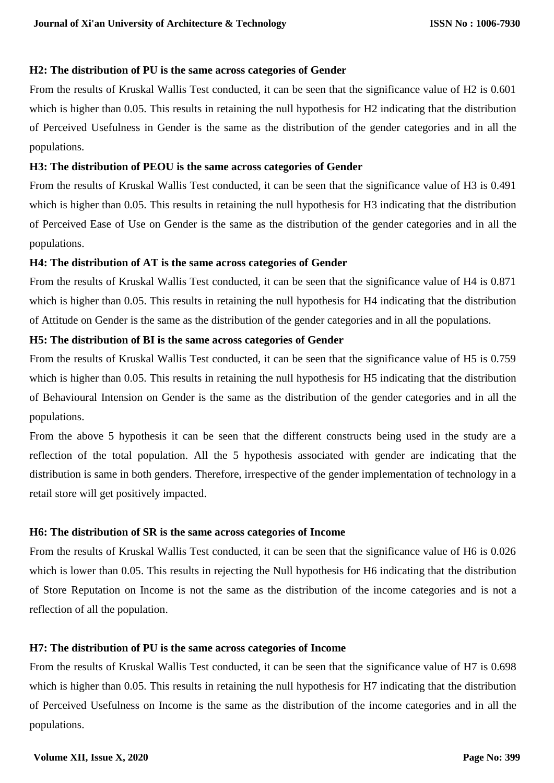#### **H2: The distribution of PU is the same across categories of Gender**

From the results of Kruskal Wallis Test conducted, it can be seen that the significance value of H2 is 0.601 which is higher than 0.05. This results in retaining the null hypothesis for H2 indicating that the distribution of Perceived Usefulness in Gender is the same as the distribution of the gender categories and in all the populations.

#### **H3: The distribution of PEOU is the same across categories of Gender**

From the results of Kruskal Wallis Test conducted, it can be seen that the significance value of H3 is 0.491 which is higher than 0.05. This results in retaining the null hypothesis for H3 indicating that the distribution of Perceived Ease of Use on Gender is the same as the distribution of the gender categories and in all the populations.

#### **H4: The distribution of AT is the same across categories of Gender**

From the results of Kruskal Wallis Test conducted, it can be seen that the significance value of H4 is 0.871 which is higher than 0.05. This results in retaining the null hypothesis for H4 indicating that the distribution of Attitude on Gender is the same as the distribution of the gender categories and in all the populations.

# **H5: The distribution of BI is the same across categories of Gender**

From the results of Kruskal Wallis Test conducted, it can be seen that the significance value of H5 is 0.759 which is higher than 0.05. This results in retaining the null hypothesis for H5 indicating that the distribution of Behavioural Intension on Gender is the same as the distribution of the gender categories and in all the populations.

From the above 5 hypothesis it can be seen that the different constructs being used in the study are a reflection of the total population. All the 5 hypothesis associated with gender are indicating that the distribution is same in both genders. Therefore, irrespective of the gender implementation of technology in a retail store will get positively impacted.

# **H6: The distribution of SR is the same across categories of Income**

From the results of Kruskal Wallis Test conducted, it can be seen that the significance value of H6 is 0.026 which is lower than 0.05. This results in rejecting the Null hypothesis for H6 indicating that the distribution of Store Reputation on Income is not the same as the distribution of the income categories and is not a reflection of all the population.

# **H7: The distribution of PU is the same across categories of Income**

From the results of Kruskal Wallis Test conducted, it can be seen that the significance value of H7 is 0.698 which is higher than 0.05. This results in retaining the null hypothesis for H7 indicating that the distribution of Perceived Usefulness on Income is the same as the distribution of the income categories and in all the populations.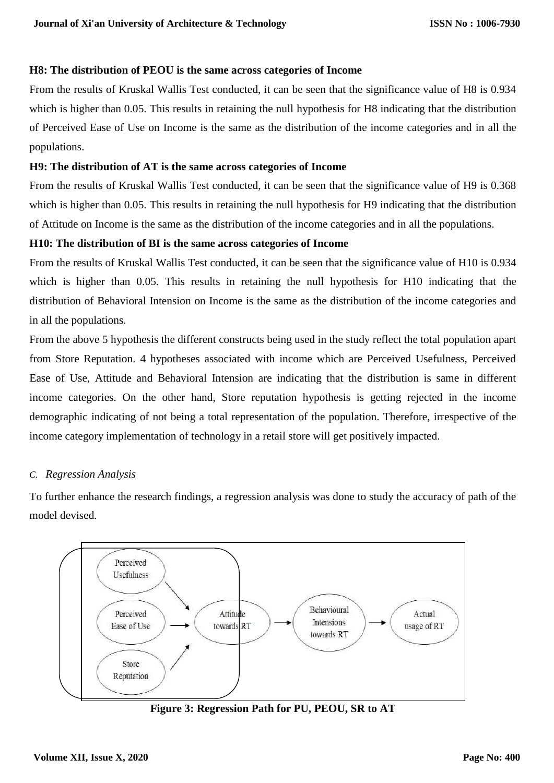#### **H8: The distribution of PEOU is the same across categories of Income**

From the results of Kruskal Wallis Test conducted, it can be seen that the significance value of H8 is 0.934 which is higher than 0.05. This results in retaining the null hypothesis for H8 indicating that the distribution of Perceived Ease of Use on Income is the same as the distribution of the income categories and in all the populations.

# **H9: The distribution of AT is the same across categories of Income**

From the results of Kruskal Wallis Test conducted, it can be seen that the significance value of H9 is 0.368 which is higher than 0.05. This results in retaining the null hypothesis for H9 indicating that the distribution of Attitude on Income is the same as the distribution of the income categories and in all the populations.

# **H10: The distribution of BI is the same across categories of Income**

From the results of Kruskal Wallis Test conducted, it can be seen that the significance value of H10 is 0.934 which is higher than 0.05. This results in retaining the null hypothesis for H10 indicating that the distribution of Behavioral Intension on Income is the same as the distribution of the income categories and in all the populations.

From the above 5 hypothesis the different constructs being used in the study reflect the total population apart from Store Reputation. 4 hypotheses associated with income which are Perceived Usefulness, Perceived Ease of Use, Attitude and Behavioral Intension are indicating that the distribution is same in different income categories. On the other hand, Store reputation hypothesis is getting rejected in the income demographic indicating of not being a total representation of the population. Therefore, irrespective of the income category implementation of technology in a retail store will get positively impacted.

# *C. Regression Analysis*

To further enhance the research findings, a regression analysis was done to study the accuracy of path of the model devised.



**Figure 3: Regression Path for PU, PEOU, SR to AT**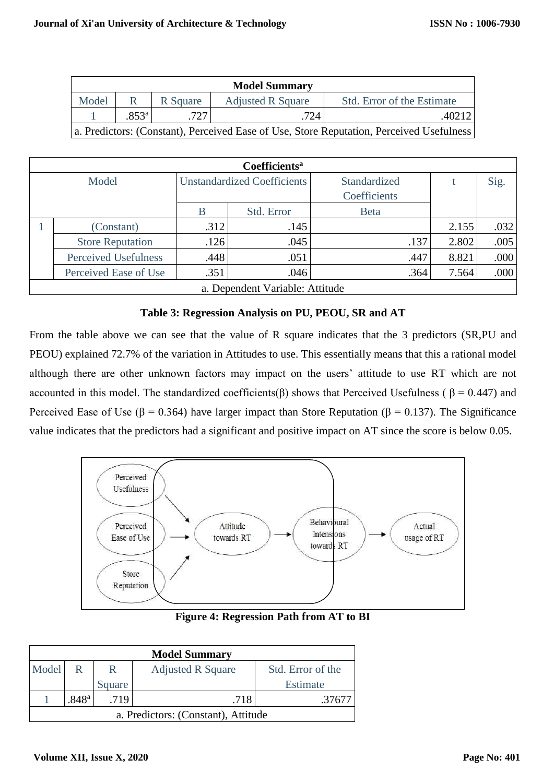| <b>Model Summary</b>                                                                     |                       |          |                          |                            |  |  |  |
|------------------------------------------------------------------------------------------|-----------------------|----------|--------------------------|----------------------------|--|--|--|
| Model                                                                                    |                       | R Square | <b>Adjusted R Square</b> | Std. Error of the Estimate |  |  |  |
|                                                                                          | $.853^{\circ}$<br>724 |          |                          |                            |  |  |  |
| a. Predictors: (Constant), Perceived Ease of Use, Store Reputation, Perceived Usefulness |                       |          |                          |                            |  |  |  |

| Coefficients <sup>a</sup>       |                             |                                    |            |              |       |      |  |
|---------------------------------|-----------------------------|------------------------------------|------------|--------------|-------|------|--|
| Model                           |                             | <b>Unstandardized Coefficients</b> |            | Standardized |       | Sig. |  |
|                                 |                             |                                    |            | Coefficients |       |      |  |
|                                 |                             | B                                  | Std. Error | <b>Beta</b>  |       |      |  |
|                                 | (Constant)                  | .312                               | .145       |              | 2.155 | .032 |  |
|                                 | <b>Store Reputation</b>     | .126                               | .045       | .137         | 2.802 | .005 |  |
|                                 | <b>Perceived Usefulness</b> | .448                               | .051       | .447         | 8.821 | .000 |  |
|                                 | Perceived Ease of Use       | .351                               | .046       | .364         | 7.564 | .000 |  |
| a. Dependent Variable: Attitude |                             |                                    |            |              |       |      |  |

**Table 3: Regression Analysis on PU, PEOU, SR and AT**

From the table above we can see that the value of R square indicates that the 3 predictors (SR,PU and PEOU) explained 72.7% of the variation in Attitudes to use. This essentially means that this a rational model although there are other unknown factors may impact on the users' attitude to use RT which are not accounted in this model. The standardized coefficients(β) shows that Perceived Usefulness ( $β = 0.447$ ) and Perceived Ease of Use ( $\beta$  = 0.364) have larger impact than Store Reputation ( $\beta$  = 0.137). The Significance value indicates that the predictors had a significant and positive impact on AT since the score is below 0.05.



**Figure 4: Regression Path from AT to BI**

| <b>Model Summary</b>                                             |  |        |  |          |  |
|------------------------------------------------------------------|--|--------|--|----------|--|
| Model<br><b>Adjusted R Square</b><br>Std. Error of the<br>R<br>R |  |        |  |          |  |
|                                                                  |  | Square |  | Estimate |  |
| $.848$ <sup>a</sup><br>.718<br>.719<br>.3767                     |  |        |  |          |  |
| a. Predictors: (Constant), Attitude                              |  |        |  |          |  |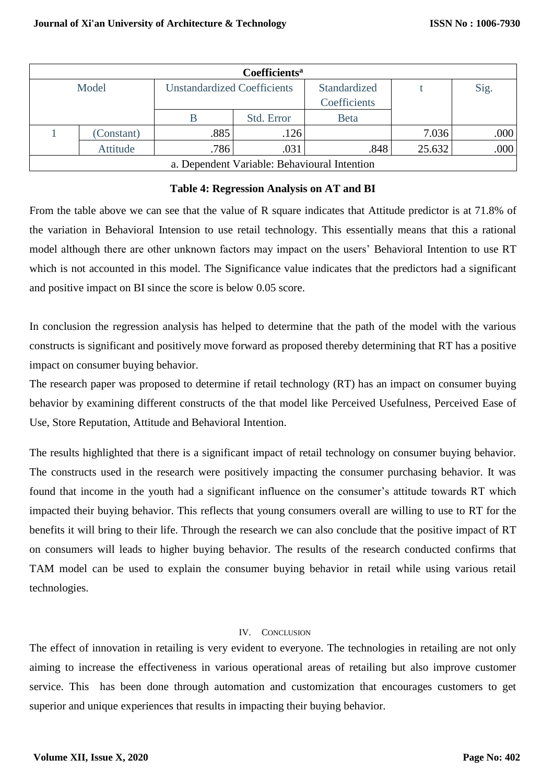| Coefficients <sup>a</sup> |                                              |                                    |            |                              |        |      |  |
|---------------------------|----------------------------------------------|------------------------------------|------------|------------------------------|--------|------|--|
| Model                     |                                              | <b>Unstandardized Coefficients</b> |            | Standardized<br>Coefficients |        | Sig. |  |
|                           |                                              |                                    | Std. Error | <b>Beta</b>                  |        |      |  |
|                           | (Constant)                                   | .885                               | .126       |                              | 7.036  | .000 |  |
|                           | Attitude                                     | .786                               | .031       | .848                         | 25.632 | .000 |  |
|                           | a. Dependent Variable: Behavioural Intention |                                    |            |                              |        |      |  |

#### **Table 4: Regression Analysis on AT and BI**

From the table above we can see that the value of R square indicates that Attitude predictor is at 71.8% of the variation in Behavioral Intension to use retail technology. This essentially means that this a rational model although there are other unknown factors may impact on the users' Behavioral Intention to use RT which is not accounted in this model. The Significance value indicates that the predictors had a significant and positive impact on BI since the score is below 0.05 score.

In conclusion the regression analysis has helped to determine that the path of the model with the various constructs is significant and positively move forward as proposed thereby determining that RT has a positive impact on consumer buying behavior.

The research paper was proposed to determine if retail technology (RT) has an impact on consumer buying behavior by examining different constructs of the that model like Perceived Usefulness, Perceived Ease of Use, Store Reputation, Attitude and Behavioral Intention.

The results highlighted that there is a significant impact of retail technology on consumer buying behavior. The constructs used in the research were positively impacting the consumer purchasing behavior. It was found that income in the youth had a significant influence on the consumer's attitude towards RT which impacted their buying behavior. This reflects that young consumers overall are willing to use to RT for the benefits it will bring to their life. Through the research we can also conclude that the positive impact of RT on consumers will leads to higher buying behavior. The results of the research conducted confirms that TAM model can be used to explain the consumer buying behavior in retail while using various retail technologies.

#### IV. CONCLUSION

The effect of innovation in retailing is very evident to everyone. The technologies in retailing are not only aiming to increase the effectiveness in various operational areas of retailing but also improve customer service. This has been done through automation and customization that encourages customers to get superior and unique experiences that results in impacting their buying behavior.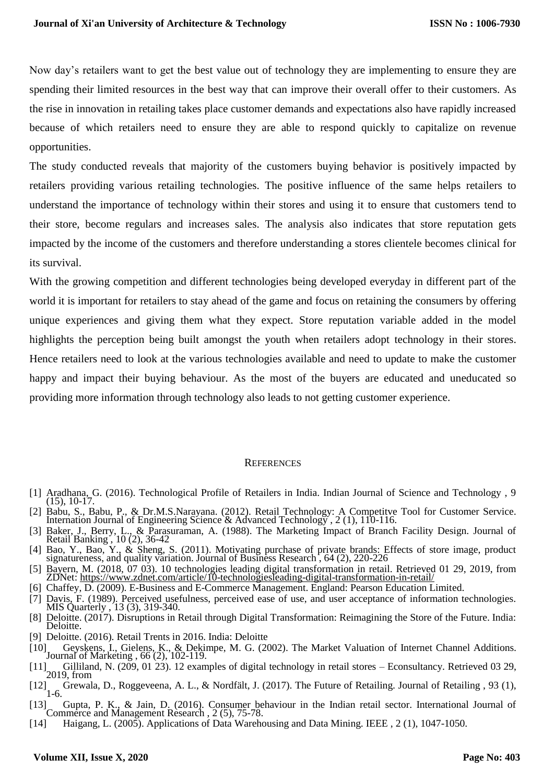Now day's retailers want to get the best value out of technology they are implementing to ensure they are spending their limited resources in the best way that can improve their overall offer to their customers. As the rise in innovation in retailing takes place customer demands and expectations also have rapidly increased because of which retailers need to ensure they are able to respond quickly to capitalize on revenue opportunities.

The study conducted reveals that majority of the customers buying behavior is positively impacted by retailers providing various retailing technologies. The positive influence of the same helps retailers to understand the importance of technology within their stores and using it to ensure that customers tend to their store, become regulars and increases sales. The analysis also indicates that store reputation gets impacted by the income of the customers and therefore understanding a stores clientele becomes clinical for its survival.

With the growing competition and different technologies being developed everyday in different part of the world it is important for retailers to stay ahead of the game and focus on retaining the consumers by offering unique experiences and giving them what they expect. Store reputation variable added in the model highlights the perception being built amongst the youth when retailers adopt technology in their stores. Hence retailers need to look at the various technologies available and need to update to make the customer happy and impact their buying behaviour. As the most of the buyers are educated and uneducated so providing more information through technology also leads to not getting customer experience.

#### **REFERENCES**

- [1] Aradhana, G. (2016). Technological Profile of Retailers in India. Indian Journal of Science and Technology , 9  $(15), 10-17.$
- [2] Babu, S., Babu, P., & Dr.M.S.Narayana. (2012). Retail Technology: A Competitye Tool for Customer Service.
- Internation Journal of Engineering Science & Advanced Technology , 2 (1), 110-116. [3] Baker, J., Berry, L., & Parasuraman, A. (1988). The Marketing Impact of Branch Facility Design. Journal of Retail Banking , 10 (2), 36-42
- [4] Bao, Y., Bao, Y., & Sheng, S. (2011). Motivating purchase of private brands: Effects of store image, product signatureness, and quality variation. Journal of Business Research , 64 (2), 220-226
- [5] Bayern, M. (2018, 07 03). 10 technologies leading digital transformation in retail. Retrieved 01 29, 2019, from ZDNet:<https://www.zdnet.com/article/10-technologiesleading-digital-transformation-in-retail/>
- [6] Chaffey, D. (2009). E-Business and E-Commerce Management. England: Pearson Education Limited.
- [7] Davis, F. (1989). Perceived usefulness, perceived ease of use, and user acceptance of information technologies. MIS Quarterly , 13 (3), 319-340.
- [8] Deloitte. (2017). Disruptions in Retail through Digital Transformation: Reimagining the Store of the Future. India: Deloitte. [9] Deloitte. (2016). Retail Trents in 2016. India: Deloitte
- [10] Geyskens, I., Gielens, K., & Dekimpe, M. G. (2002). The Market Valuation of Internet Channel Additions. Journal of Marketing , 66 (2), 102-119.
- [11] Gilliland, N. (209, 01 23). 12 examples of digital technology in retail stores Econsultancy. Retrieved 03 29,  $[11]$   $\frac{5}{2019}$ , from
- [12] Grewala, D., Roggeveena, A. L., & Nordfält, J. (2017). The Future of Retailing. Journal of Retailing, 93 (1), 1-6.
- [13] Gupta, P. K., & Jain, D. (2016). Consumer behaviour in the Indian retail sector. International Journal of Commerce and Management Research , 2 (5), 75-78.
- [14] Haigang, L. (2005). Applications of Data Warehousing and Data Mining. IEEE , 2 (1), 1047-1050.